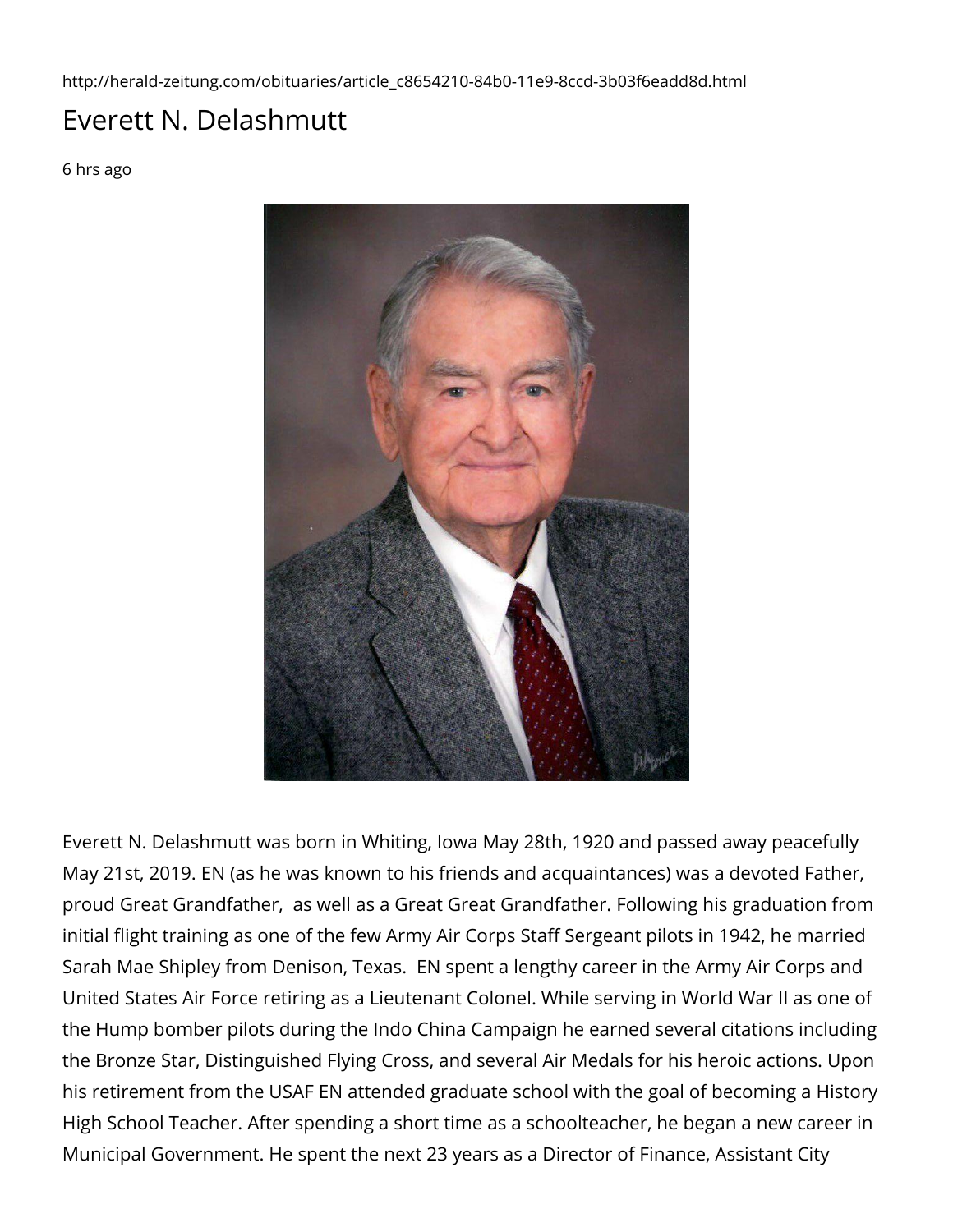http://herald-zeitung.com/obituaries/article\_c8654210-84b0-11e9-8ccd-3b03f6eadd8d.html

## Everett N. Delashmutt

6 hrs ago



Everett N. Delashmutt was born in Whiting, Iowa May 28th, 1920 and passed away peacefully May 21st, 2019. EN (as he was known to his friends and acquaintances) was a devoted Father, proud Great Grandfather, as well as a Great Great Grandfather. Following his graduation from initial flight training as one of the few Army Air Corps Staff Sergeant pilots in 1942, he married Sarah Mae Shipley from Denison, Texas. EN spent a lengthy career in the Army Air Corps and United States Air Force retiring as a Lieutenant Colonel. While serving in World War II as one of the Hump bomber pilots during the Indo China Campaign he earned several citations including the Bronze Star, Distinguished Flying Cross, and several Air Medals for his heroic actions. Upon his retirement from the USAF EN attended graduate school with the goal of becoming a History High School Teacher. After spending a short time as a schoolteacher, he began a new career in Municipal Government. He spent the next 23 years as a Director of Finance, Assistant City